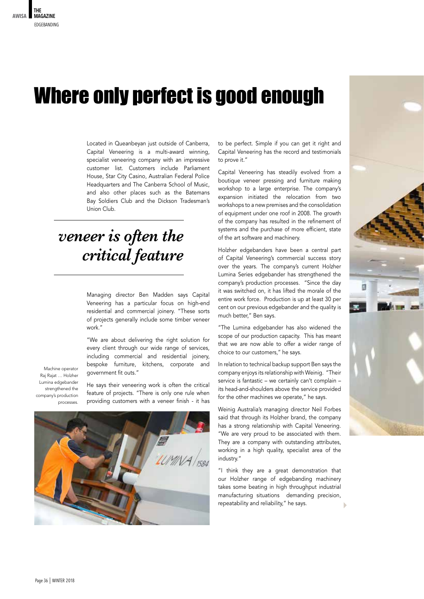## Where only perfect is good enough

Located in Queanbeyan just outside of Canberra, Capital Veneering is a multi-award winning, specialist veneering company with an impressive customer list. Customers include Parliament House, Star City Casino, Australian Federal Police Headquarters and The Canberra School of Music, and also other places such as the Batemans Bay Soldiers Club and the Dickson Tradesman's Union Club.

## *veneer is often the critical feature*

Managing director Ben Madden says Capital Veneering has a particular focus on high-end residential and commercial joinery. "These sorts of projects generally include some timber veneer work."

"We are about delivering the right solution for every client through our wide range of services, including commercial and residential joinery, bespoke furniture, kitchens, corporate and government fit outs."

Machine operator Raj Rajat … Holzher Lumina edgebander strengthened the company's production processes.

He says their veneering work is often the critical feature of projects. "There is only one rule when providing customers with a veneer finish - it has



to be perfect. Simple if you can get it right and Capital Veneering has the record and testimonials to prove it."

Capital Veneering has steadily evolved from a boutique veneer pressing and furniture making workshop to a large enterprise. The company's expansion initiated the relocation from two workshops to a new premises and the consolidation of equipment under one roof in 2008. The growth of the company has resulted in the refinement of systems and the purchase of more efficient, state of the art software and machinery.

Holzher edgebanders have been a central part of Capital Veneering's commercial success story over the years. The company's current Holzher Lumina Series edgebander has strengthened the company's production processes. "Since the day it was switched on, it has lifted the morale of the entire work force. Production is up at least 30 per cent on our previous edgebander and the quality is much better," Ben says.

"The Lumina edgebander has also widened the scope of our production capacity. This has meant that we are now able to offer a wider range of choice to our customers," he says.

In relation to technical backup support Ben says the company enjoys its relationship with Weinig. "Their service is fantastic – we certainly can't complain – its head-and-shoulders above the service provided for the other machines we operate," he says.

Weinig Australia's managing director Neil Forbes said that through its Holzher brand, the company has a strong relationship with Capital Veneering. "We are very proud to be associated with them. They are a company with outstanding attributes, working in a high quality, specialist area of the industry."

"I think they are a great demonstration that our Holzher range of edgebanding machinery takes some beating in high throughput industrial manufacturing situations demanding precision, repeatability and reliability," he says.

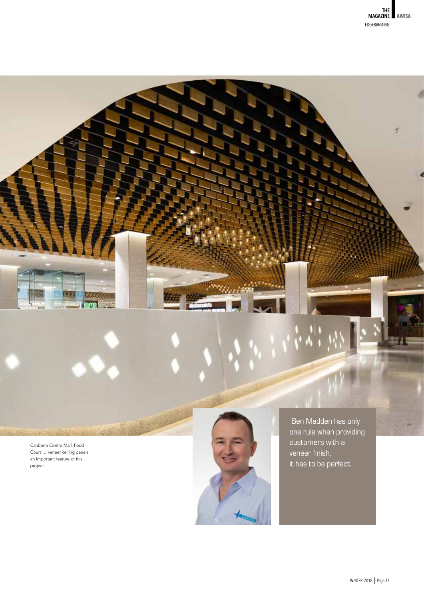

Canberra Centre Mall, Food Court … veneer ceiling panels an important feature of this project.



 Ben Madden has only one rule when providing customers with a veneer finish, it has to be perfect.